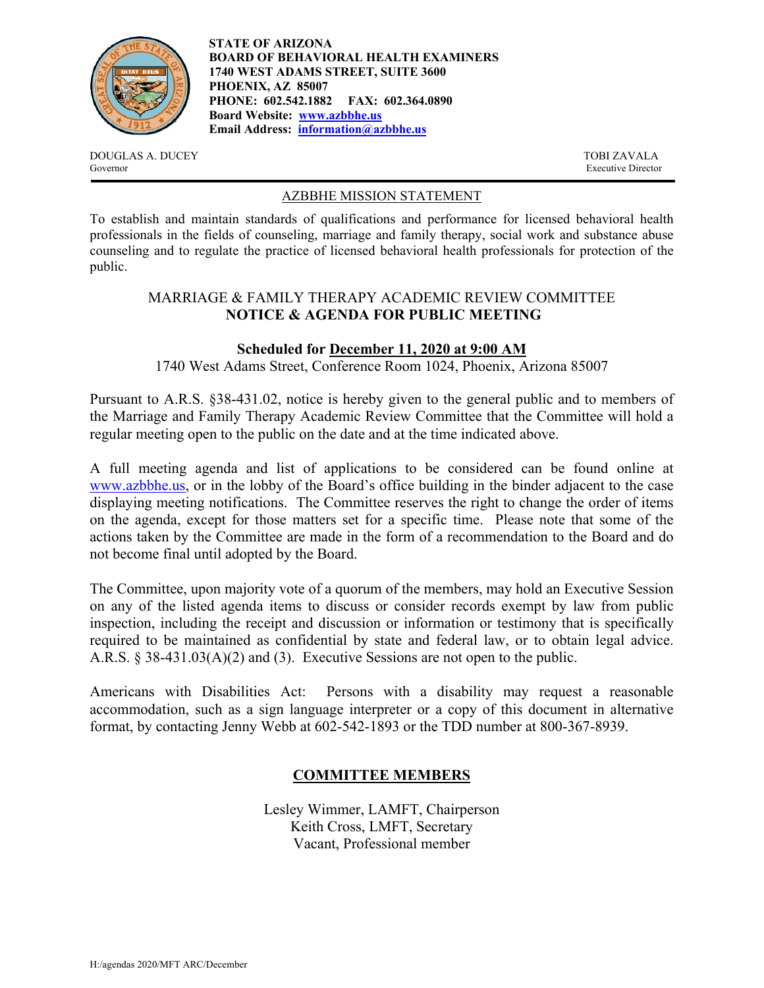

**STATE OF ARIZONA BOARD OF BEHAVIORAL HEALTH EXAMINERS 1740 WEST ADAMS STREET, SUITE 3600 PHOENIX, AZ 85007 PHONE: 602.542.1882 FAX: 602.364.0890 Board Website: www.azbbhe.us Email Address: information@azbbhe.us**

DOUGLAS A. DUCEY TOBI ZAVALA Governor Executive Director

#### AZBBHE MISSION STATEMENT

To establish and maintain standards of qualifications and performance for licensed behavioral health professionals in the fields of counseling, marriage and family therapy, social work and substance abuse counseling and to regulate the practice of licensed behavioral health professionals for protection of the public.

# MARRIAGE & FAMILY THERAPY ACADEMIC REVIEW COMMITTEE **NOTICE & AGENDA FOR PUBLIC MEETING**

## **Scheduled for December 11, 2020 at 9:00 AM**

1740 West Adams Street, Conference Room 1024, Phoenix, Arizona 85007

Pursuant to A.R.S. §38-431.02, notice is hereby given to the general public and to members of the Marriage and Family Therapy Academic Review Committee that the Committee will hold a regular meeting open to the public on the date and at the time indicated above.

A full meeting agenda and list of applications to be considered can be found online at www.azbbhe.us, or in the lobby of the Board's office building in the binder adjacent to the case displaying meeting notifications. The Committee reserves the right to change the order of items on the agenda, except for those matters set for a specific time. Please note that some of the actions taken by the Committee are made in the form of a recommendation to the Board and do not become final until adopted by the Board.

The Committee, upon majority vote of a quorum of the members, may hold an Executive Session on any of the listed agenda items to discuss or consider records exempt by law from public inspection, including the receipt and discussion or information or testimony that is specifically required to be maintained as confidential by state and federal law, or to obtain legal advice. A.R.S. § 38-431.03(A)(2) and (3). Executive Sessions are not open to the public.

Americans with Disabilities Act: Persons with a disability may request a reasonable accommodation, such as a sign language interpreter or a copy of this document in alternative format, by contacting Jenny Webb at 602-542-1893 or the TDD number at 800-367-8939.

## **COMMITTEE MEMBERS**

Lesley Wimmer, LAMFT, Chairperson Keith Cross, LMFT, Secretary Vacant, Professional member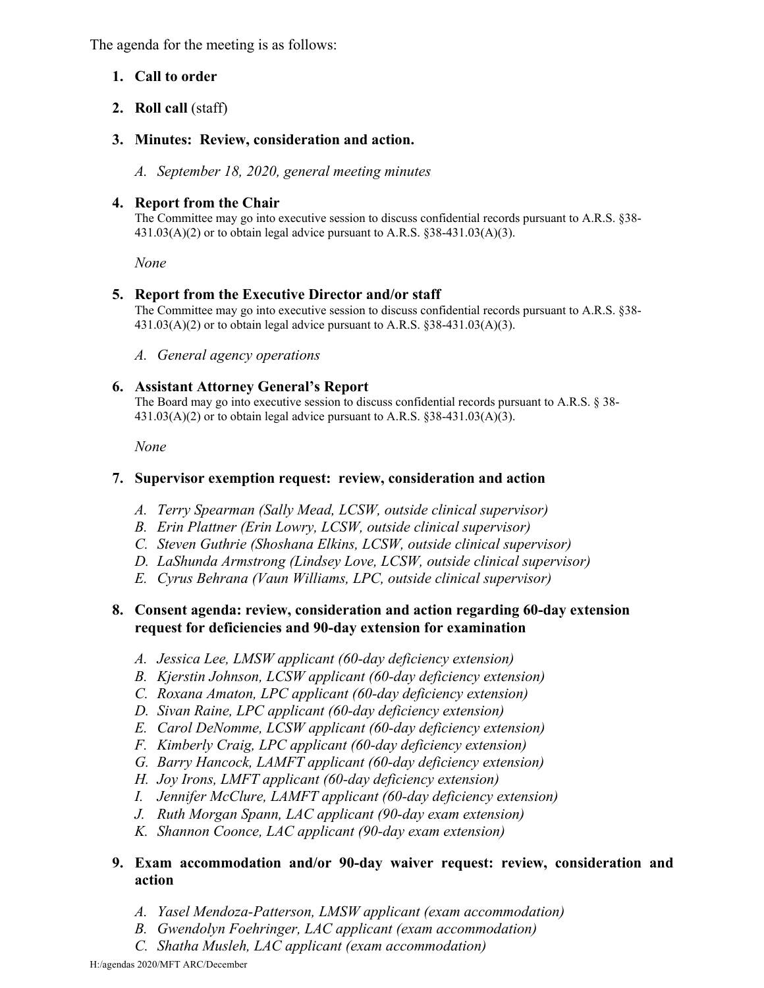The agenda for the meeting is as follows:

# **1. Call to order**

**2. Roll call** (staff)

# **3. Minutes: Review, consideration and action.**

*A. September 18, 2020, general meeting minutes* 

## **4. Report from the Chair**

The Committee may go into executive session to discuss confidential records pursuant to A.R.S. §38-  $431.03(A)(2)$  or to obtain legal advice pursuant to A.R.S. §38-431.03(A)(3).

 *None* 

## **5. Report from the Executive Director and/or staff**

The Committee may go into executive session to discuss confidential records pursuant to A.R.S. §38-  $431.03(A)(2)$  or to obtain legal advice pursuant to A.R.S. §38-431.03(A)(3).

*A. General agency operations* 

## **6. Assistant Attorney General's Report**

The Board may go into executive session to discuss confidential records pursuant to A.R.S. § 38-  $431.03(A)(2)$  or to obtain legal advice pursuant to A.R.S. §38-431.03(A)(3).

 *None* 

## **7. Supervisor exemption request: review, consideration and action**

- *A. Terry Spearman (Sally Mead, LCSW, outside clinical supervisor)*
- *B. Erin Plattner (Erin Lowry, LCSW, outside clinical supervisor)*
- *C. Steven Guthrie (Shoshana Elkins, LCSW, outside clinical supervisor)*
- *D. LaShunda Armstrong (Lindsey Love, LCSW, outside clinical supervisor)*
- *E. Cyrus Behrana (Vaun Williams, LPC, outside clinical supervisor)*

# **8. Consent agenda: review, consideration and action regarding 60-day extension request for deficiencies and 90-day extension for examination**

- *A. Jessica Lee, LMSW applicant (60-day deficiency extension)*
- *B. Kjerstin Johnson, LCSW applicant (60-day deficiency extension)*
- *C. Roxana Amaton, LPC applicant (60-day deficiency extension)*
- *D. Sivan Raine, LPC applicant (60-day deficiency extension)*
- *E. Carol DeNomme, LCSW applicant (60-day deficiency extension)*
- *F. Kimberly Craig, LPC applicant (60-day deficiency extension)*
- *G. Barry Hancock, LAMFT applicant (60-day deficiency extension)*
- *H. Joy Irons, LMFT applicant (60-day deficiency extension)*
- *I. Jennifer McClure, LAMFT applicant (60-day deficiency extension)*
- *J. Ruth Morgan Spann, LAC applicant (90-day exam extension)*
- *K. Shannon Coonce, LAC applicant (90-day exam extension)*

# **9. Exam accommodation and/or 90-day waiver request: review, consideration and action**

- *A. Yasel Mendoza-Patterson, LMSW applicant (exam accommodation)*
- *B. Gwendolyn Foehringer, LAC applicant (exam accommodation)*
- *C. Shatha Musleh, LAC applicant (exam accommodation)*